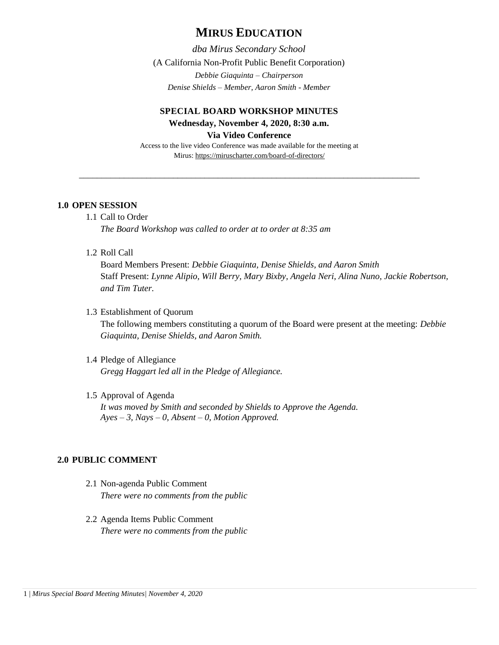# **MIRUS EDUCATION**

*dba Mirus Secondary School* (A California Non-Profit Public Benefit Corporation) *Debbie Giaquinta – Chairperson Denise Shields – Member, Aaron Smith - Member*

## **SPECIAL BOARD WORKSHOP MINUTES Wednesday, November 4, 2020, 8:30 a.m. Via Video Conference**

Access to the live video Conference was made available for the meeting at Mirus:<https://miruscharter.com/board-of-directors/>

\_\_\_\_\_\_\_\_\_\_\_\_\_\_\_\_\_\_\_\_\_\_\_\_\_\_\_\_\_\_\_\_\_\_\_\_\_\_\_\_\_\_\_\_\_\_\_\_\_\_\_\_\_\_\_\_\_\_\_\_\_\_\_\_\_\_\_\_\_\_\_\_\_\_\_\_

#### **1.0 OPEN SESSION**

#### 1.1 Call to Order

*The Board Workshop was called to order at to order at 8:35 am*

1.2 Roll Call

Board Members Present: *Debbie Giaquinta, Denise Shields, and Aaron Smith* Staff Present: *Lynne Alipio, Will Berry, Mary Bixby, Angela Neri, Alina Nuno, Jackie Robertson, and Tim Tuter.*

1.3 Establishment of Quorum

The following members constituting a quorum of the Board were present at the meeting: *Debbie Giaquinta, Denise Shields, and Aaron Smith.* 

### 1.4 Pledge of Allegiance *Gregg Haggart led all in the Pledge of Allegiance.*

## 1.5 Approval of Agenda

*It was moved by Smith and seconded by Shields to Approve the Agenda. Ayes – 3, Nays – 0, Absent – 0, Motion Approved.*

## **2.0 PUBLIC COMMENT**

- 2.1 Non-agenda Public Comment *There were no comments from the public*
- 2.2 Agenda Items Public Comment *There were no comments from the public*